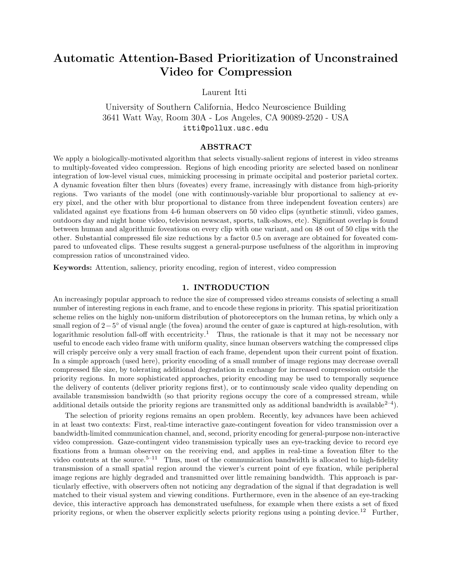# Automatic Attention-Based Prioritization of Unconstrained Video for Compression

Laurent Itti

University of Southern California, Hedco Neuroscience Building 3641 Watt Way, Room 30A - Los Angeles, CA 90089-2520 - USA itti@pollux.usc.edu

### ABSTRACT

We apply a biologically-motivated algorithm that selects visually-salient regions of interest in video streams to multiply-foveated video compression. Regions of high encoding priority are selected based on nonlinear integration of low-level visual cues, mimicking processing in primate occipital and posterior parietal cortex. A dynamic foveation filter then blurs (foveates) every frame, increasingly with distance from high-priority regions. Two variants of the model (one with continuously-variable blur proportional to saliency at every pixel, and the other with blur proportional to distance from three independent foveation centers) are validated against eye fixations from 4-6 human observers on 50 video clips (synthetic stimuli, video games, outdoors day and night home video, television newscast, sports, talk-shows, etc). Significant overlap is found between human and algorithmic foveations on every clip with one variant, and on 48 out of 50 clips with the other. Substantial compressed file size reductions by a factor 0.5 on average are obtained for foveated compared to unfoveated clips. These results suggest a general-purpose usefulness of the algorithm in improving compression ratios of unconstrained video.

Keywords: Attention, saliency, priority encoding, region of interest, video compression

# 1. INTRODUCTION

An increasingly popular approach to reduce the size of compressed video streams consists of selecting a small number of interesting regions in each frame, and to encode these regions in priority. This spatial prioritization scheme relies on the highly non-uniform distribution of photoreceptors on the human retina, by which only a small region of 2-5° of visual angle (the fovea) around the center of gaze is captured at high-resolution, with logarithmic resolution fall-off with eccentricity.<sup>1</sup> Thus, the rationale is that it may not be necessary nor useful to encode each video frame with uniform quality, since human observers watching the compressed clips will crisply perceive only a very small fraction of each frame, dependent upon their current point of fixation. In a simple approach (used here), priority encoding of a small number of image regions may decrease overall compressed file size, by tolerating additional degradation in exchange for increased compression outside the priority regions. In more sophisticated approaches, priority encoding may be used to temporally sequence the delivery of contents (deliver priority regions first), or to continuously scale video quality depending on available transmission bandwidth (so that priority regions occupy the core of a compressed stream, while additional details outside the priority regions are transmitted only as additional bandwidth is available<sup>2-4</sup>).

The selection of priority regions remains an open problem. Recently, key advances have been achieved in at least two contexts: First, real-time interactive gaze-contingent foveation for video transmission over a bandwidth-limited communication channel, and, second, priority encoding for general-purpose non-interactive video compression. Gaze-contingent video transmission typically uses an eye-tracking device to record eye fixations from a human observer on the receiving end, and applies in real-time a foveation filter to the video contents at the source.<sup>5–11</sup> Thus, most of the communication bandwidth is allocated to high-fidelity transmission of a small spatial region around the viewer's current point of eye fixation, while peripheral image regions are highly degraded and transmitted over little remaining bandwidth. This approach is particularly effective, with observers often not noticing any degradation of the signal if that degradation is well matched to their visual system and viewing conditions. Furthermore, even in the absence of an eye-tracking device, this interactive approach has demonstrated usefulness, for example when there exists a set of fixed priority regions, or when the observer explicitly selects priority regions using a pointing device.<sup>12</sup> Further,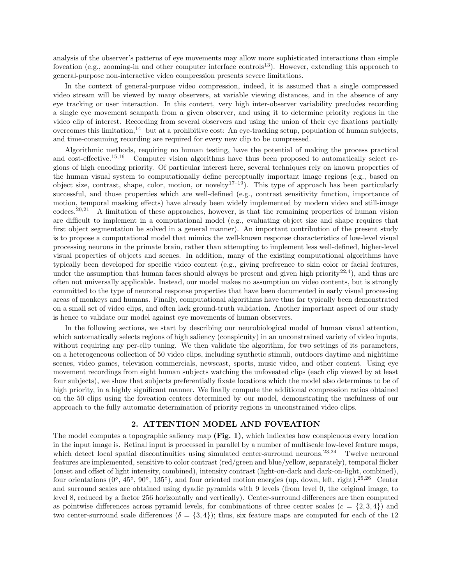analysis of the observer's patterns of eye movements may allow more sophisticated interactions than simple foveation (e.g., zooming-in and other computer interface controls<sup>13</sup>). However, extending this approach to general-purpose non-interactive video compression presents severe limitations.

In the context of general-purpose video compression, indeed, it is assumed that a single compressed video stream will be viewed by many observers, at variable viewing distances, and in the absence of any eye tracking or user interaction. In this context, very high inter-observer variability precludes recording a single eye movement scanpath from a given observer, and using it to determine priority regions in the video clip of interest. Recording from several observers and using the union of their eye fixations partially overcomes this limitation,<sup>14</sup> but at a prohibitive cost: An eye-tracking setup, population of human subjects, and time-consuming recording are required for every new clip to be compressed.

Algorithmic methods, requiring no human testing, have the potential of making the process practical and cost-effective.<sup>15,16</sup> Computer vision algorithms have thus been proposed to automatically select regions of high encoding priority. Of particular interest here, several techniques rely on known properties of the human visual system to computationally define perceptually important image regions (e.g., based on object size, contrast, shape, color, motion, or novelty<sup>17–19</sup>). This type of approach has been particularly successful, and those properties which are well-defined (e.g., contrast sensitivity function, importance of motion, temporal masking effects) have already been widely implemented by modern video and still-image codecs.20,21 A limitation of these approaches, however, is that the remaining properties of human vision are difficult to implement in a computational model (e.g., evaluating object size and shape requires that first object segmentation be solved in a general manner). An important contribution of the present study is to propose a computational model that mimics the well-known response characteristics of low-level visual processing neurons in the primate brain, rather than attempting to implement less well-defined, higher-level visual properties of objects and scenes. In addition, many of the existing computational algorithms have typically been developed for specific video content (e.g., giving preference to skin color or facial features, under the assumption that human faces should always be present and given high priority<sup>22,4</sup>), and thus are often not universally applicable. Instead, our model makes no assumption on video contents, but is strongly committed to the type of neuronal response properties that have been documented in early visual processing areas of monkeys and humans. Finally, computational algorithms have thus far typically been demonstrated on a small set of video clips, and often lack ground-truth validation. Another important aspect of our study is hence to validate our model against eye movements of human observers.

In the following sections, we start by describing our neurobiological model of human visual attention, which automatically selects regions of high saliency (conspicuity) in an unconstrained variety of video inputs, without requiring any per-clip tuning. We then validate the algorithm, for two settings of its parameters, on a heterogeneous collection of 50 video clips, including synthetic stimuli, outdoors daytime and nighttime scenes, video games, television commercials, newscast, sports, music video, and other content. Using eye movement recordings from eight human subjects watching the unfoveated clips (each clip viewed by at least four subjects), we show that subjects preferentially fixate locations which the model also determines to be of high priority, in a highly significant manner. We finally compute the additional compression ratios obtained on the 50 clips using the foveation centers determined by our model, demonstrating the usefulness of our approach to the fully automatic determination of priority regions in unconstrained video clips.

#### 2. ATTENTION MODEL AND FOVEATION

The model computes a topographic saliency map (Fig. 1), which indicates how conspicuous every location in the input image is. Retinal input is processed in parallel by a number of multiscale low-level feature maps, which detect local spatial discontinuities using simulated center-surround neurons.<sup>23,24</sup> Twelve neuronal features are implemented, sensitive to color contrast (red/green and blue/yellow, separately), temporal flicker (onset and offset of light intensity, combined), intensity contrast (light-on-dark and dark-on-light, combined), four orientations  $(0^{\circ}, 45^{\circ}, 90^{\circ}, 135^{\circ})$ , and four oriented motion energies (up, down, left, right).<sup>25,26</sup> Center and surround scales are obtained using dyadic pyramids with 9 levels (from level 0, the original image, to level 8, reduced by a factor 256 horizontally and vertically). Center-surround differences are then computed as pointwise differences across pyramid levels, for combinations of three center scales  $(c = \{2, 3, 4\})$  and two center-surround scale differences  $(\delta = \{3, 4\})$ ; thus, six feature maps are computed for each of the 12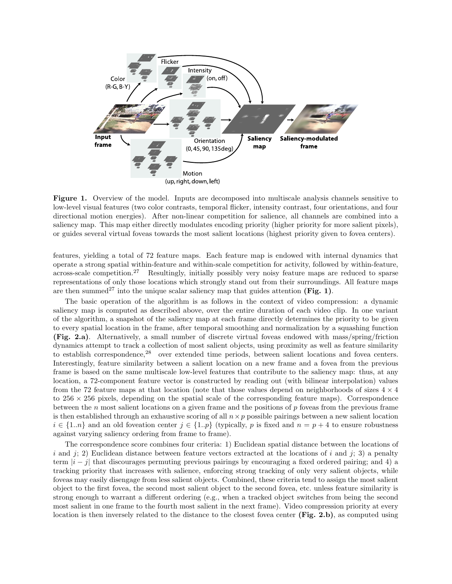

Figure 1. Overview of the model. Inputs are decomposed into multiscale analysis channels sensitive to low-level visual features (two color contrasts, temporal flicker, intensity contrast, four orientations, and four directional motion energies). After non-linear competition for salience, all channels are combined into a saliency map. This map either directly modulates encoding priority (higher priority for more salient pixels), or guides several virtual foveas towards the most salient locations (highest priority given to fovea centers).

features, yielding a total of 72 feature maps. Each feature map is endowed with internal dynamics that operate a strong spatial within-feature and within-scale competition for activity, followed by within-feature, across-scale competition.<sup>27</sup> Resultingly, initially possibly very noisy feature maps are reduced to sparse representations of only those locations which strongly stand out from their surroundings. All feature maps are then summed<sup>27</sup> into the unique scalar saliency map that guides attention (Fig. 1).

The basic operation of the algorithm is as follows in the context of video compression: a dynamic saliency map is computed as described above, over the entire duration of each video clip. In one variant of the algorithm, a snapshot of the saliency map at each frame directly determines the priority to be given to every spatial location in the frame, after temporal smoothing and normalization by a squashing function (Fig. 2.a). Alternatively, a small number of discrete virtual foveas endowed with mass/spring/friction dynamics attempt to track a collection of most salient objects, using proximity as well as feature similarity to establish correspondence,<sup>28</sup> over extended time periods, between salient locations and fovea centers. Interestingly, feature similarity between a salient location on a new frame and a fovea from the previous frame is based on the same multiscale low-level features that contribute to the saliency map: thus, at any location, a 72-component feature vector is constructed by reading out (with bilinear interpolation) values from the 72 feature maps at that location (note that those values depend on neighborhoods of sizes  $4 \times 4$ to  $256 \times 256$  pixels, depending on the spatial scale of the corresponding feature maps). Correspondence between the n most salient locations on a given frame and the positions of p foveas from the previous frame is then established through an exhaustive scoring of all  $n \times p$  possible pairings between a new salient location  $i \in \{1..n\}$  and an old foveation center  $j \in \{1..p\}$  (typically, p is fixed and  $n = p + 4$  to ensure robustness against varying saliency ordering from frame to frame).

The correspondence score combines four criteria: 1) Euclidean spatial distance between the locations of i and i; 2) Euclidean distance between feature vectors extracted at the locations of i and i; 3) a penalty term  $|i-j|$  that discourages permuting previous pairings by encouraging a fixed ordered pairing; and 4) a tracking priority that increases with salience, enforcing strong tracking of only very salient objects, while foveas may easily disengage from less salient objects. Combined, these criteria tend to assign the most salient object to the first fovea, the second most salient object to the second fovea, etc. unless feature similarity is strong enough to warrant a different ordering (e.g., when a tracked object switches from being the second most salient in one frame to the fourth most salient in the next frame). Video compression priority at every location is then inversely related to the distance to the closest fovea center (Fig. 2.b), as computed using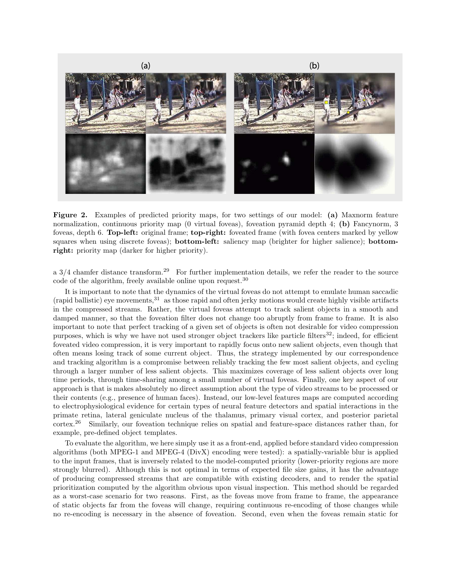

Figure 2. Examples of predicted priority maps, for two settings of our model: (a) Maxnorm feature normalization, continuous priority map (0 virtual foveas), foveation pyramid depth 4; (b) Fancynorm, 3 foveas, depth 6. Top-left: original frame; top-right: foveated frame (with fovea centers marked by yellow squares when using discrete foveas); **bottom-left:** saliency map (brighter for higher salience); **bottom**right: priority map (darker for higher priority).

a  $3/4$  chamfer distance transform.<sup>29</sup> For further implementation details, we refer the reader to the source code of the algorithm, freely available online upon request.<sup>30</sup>

It is important to note that the dynamics of the virtual foveas do not attempt to emulate human saccadic (rapid ballistic) eye movements,<sup>31</sup> as those rapid and often jerky motions would create highly visible artifacts in the compressed streams. Rather, the virtual foveas attempt to track salient objects in a smooth and damped manner, so that the foveation filter does not change too abruptly from frame to frame. It is also important to note that perfect tracking of a given set of objects is often not desirable for video compression purposes, which is why we have not used stronger object trackers like particle filters $32$ ; indeed, for efficient foveated video compression, it is very important to rapidly focus onto new salient objects, even though that often means losing track of some current object. Thus, the strategy implemented by our correspondence and tracking algorithm is a compromise between reliably tracking the few most salient objects, and cycling through a larger number of less salient objects. This maximizes coverage of less salient objects over long time periods, through time-sharing among a small number of virtual foveas. Finally, one key aspect of our approach is that is makes absolutely no direct assumption about the type of video streams to be processed or their contents (e.g., presence of human faces). Instead, our low-level features maps are computed according to electrophysiological evidence for certain types of neural feature detectors and spatial interactions in the primate retina, lateral geniculate nucleus of the thalamus, primary visual cortex, and posterior parietal cortex.<sup>26</sup> Similarly, our foveation technique relies on spatial and feature-space distances rather than, for example, pre-defined object templates.

To evaluate the algorithm, we here simply use it as a front-end, applied before standard video compression algorithms (both MPEG-1 and MPEG-4 (DivX) encoding were tested): a spatially-variable blur is applied to the input frames, that is inversely related to the model-computed priority (lower-priority regions are more strongly blurred). Although this is not optimal in terms of expected file size gains, it has the advantage of producing compressed streams that are compatible with existing decoders, and to render the spatial prioritization computed by the algorithm obvious upon visual inspection. This method should be regarded as a worst-case scenario for two reasons. First, as the foveas move from frame to frame, the appearance of static objects far from the foveas will change, requiring continuous re-encoding of those changes while no re-encoding is necessary in the absence of foveation. Second, even when the foveas remain static for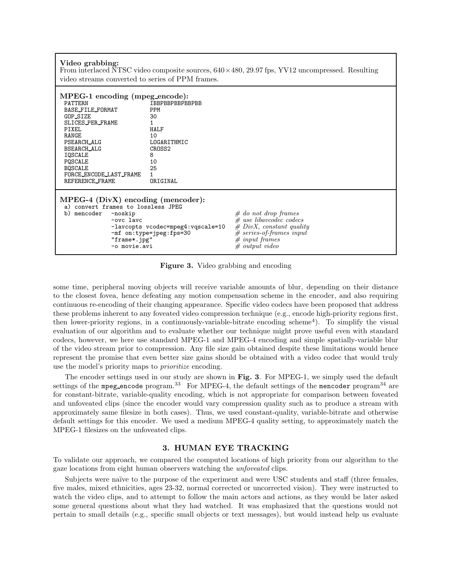| Video grabbing:<br>From interlaced NTSC video composite sources, $640 \times 480$ , $29.97$ fps, YV12 uncompressed. Resulting<br>video streams converted to series of PPM frames.                                                                 |                                                                                                                                   |                                                                                                                                                      |  |  |  |  |  |  |
|---------------------------------------------------------------------------------------------------------------------------------------------------------------------------------------------------------------------------------------------------|-----------------------------------------------------------------------------------------------------------------------------------|------------------------------------------------------------------------------------------------------------------------------------------------------|--|--|--|--|--|--|
| MPEG-1 encoding (mpeg_encode):<br><b>PATTERN</b><br>BASE_FILE_FORMAT<br>GOP_SIZE<br>SLICES_PER_FRAME<br>PIXEL<br>RANGE<br>PSEARCH_ALG<br>BSEARCH_ALG<br><b>IOSCALE</b><br>POSCALE<br><b>BOSCALE</b><br>FORCE_ENCODE_LAST_FRAME<br>REFERENCE_FRAME | <b>TRRPRRPRRPRRPRR</b><br><b>PPM</b><br>30<br><b>HALF</b><br>10<br>LOGARITHMIC<br>CROSS <sub>2</sub><br>8<br>10<br>25<br>ORIGINAL |                                                                                                                                                      |  |  |  |  |  |  |
| $MPEG-4$ ( $DivX$ ) encoding (mencoder):<br>a) convert frames to lossless JPEG<br>b) mencoder<br>-noskip<br>$-ovc$ lavc<br>"frame*.jpg"<br>-o movie.avi                                                                                           | -lavcopts vcodec=mpeg4:vqscale=10<br>-mf on:type=jpeg:fps=30                                                                      | # do not drop frames<br>$#$ use libavcodec codecs<br>$# DivX$ , constant quality<br>$#$ series-of-frames input<br># input frames<br>$#$ output video |  |  |  |  |  |  |

Figure 3. Video grabbing and encoding

some time, peripheral moving objects will receive variable amounts of blur, depending on their distance to the closest fovea, hence defeating any motion compensation scheme in the encoder, and also requiring continuous re-encoding of their changing appearance. Specific video codecs have been proposed that address these problems inherent to any foveated video compression technique (e.g., encode high-priority regions first, then lower-priority regions, in a continuously-variable-bitrate encoding scheme<sup>4</sup>). To simplify the visual evaluation of our algorithm and to evaluate whether our technique might prove useful even with standard codecs, however, we here use standard MPEG-1 and MPEG-4 encoding and simple spatially-variable blur of the video stream prior to compression. Any file size gain obtained despite these limitations would hence represent the promise that even better size gains should be obtained with a video codec that would truly use the model's priority maps to prioritize encoding.

The encoder settings used in our study are shown in Fig. 3. For MPEG-1, we simply used the default settings of the mpeg encode program.<sup>33</sup> For MPEG-4, the default settings of the mencoder program<sup>34</sup> are for constant-bitrate, variable-quality encoding, which is not appropriate for comparison between foveated and unfoveated clips (since the encoder would vary compression quality such as to produce a stream with approximately same filesize in both cases). Thus, we used constant-quality, variable-bitrate and otherwise default settings for this encoder. We used a medium MPEG-4 quality setting, to approximately match the MPEG-1 filesizes on the unfoveated clips.

# 3. HUMAN EYE TRACKING

To validate our approach, we compared the computed locations of high priority from our algorithm to the gaze locations from eight human observers watching the unfoveated clips.

Subjects were naïve to the purpose of the experiment and were USC students and staff (three females, five males, mixed ethnicities, ages 23-32, normal corrected or uncorrected vision). They were instructed to watch the video clips, and to attempt to follow the main actors and actions, as they would be later asked some general questions about what they had watched. It was emphasized that the questions would not pertain to small details (e.g., specific small objects or text messages), but would instead help us evaluate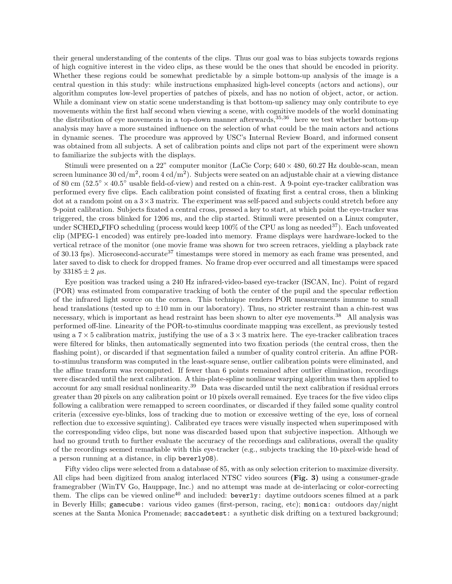their general understanding of the contents of the clips. Thus our goal was to bias subjects towards regions of high cognitive interest in the video clips, as these would be the ones that should be encoded in priority. Whether these regions could be somewhat predictable by a simple bottom-up analysis of the image is a central question in this study: while instructions emphasized high-level concepts (actors and actions), our algorithm computes low-level properties of patches of pixels, and has no notion of object, actor, or action. While a dominant view on static scene understanding is that bottom-up saliency may only contribute to eye movements within the first half second when viewing a scene, with cognitive models of the world dominating the distribution of eye movements in a top-down manner afterwards,  $35,36$  here we test whether bottom-up analysis may have a more sustained influence on the selection of what could be the main actors and actions in dynamic scenes. The procedure was approved by USC's Internal Review Board, and informed consent was obtained from all subjects. A set of calibration points and clips not part of the experiment were shown to familiarize the subjects with the displays.

Stimuli were presented on a 22" computer monitor (LaCie Corp;  $640 \times 480$ ,  $60.27$  Hz double-scan, mean screen luminance 30 cd/m<sup>2</sup>, room 4 cd/m<sup>2</sup>). Subjects were seated on an adjustable chair at a viewing distance of 80 cm  $(52.5^{\circ} \times 40.5^{\circ}$  usable field-of-view) and rested on a chin-rest. A 9-point eye-tracker calibration was performed every five clips. Each calibration point consisted of fixating first a central cross, then a blinking dot at a random point on a 3×3 matrix. The experiment was self-paced and subjects could stretch before any 9-point calibration. Subjects fixated a central cross, pressed a key to start, at which point the eye-tracker was triggered, the cross blinked for 1206 ms, and the clip started. Stimuli were presented on a Linux computer, under SCHED FIFO scheduling (process would keep  $100\%$  of the CPU as long as needed<sup>37</sup>). Each unfoveated clip (MPEG-1 encoded) was entirely pre-loaded into memory. Frame displays were hardware-locked to the vertical retrace of the monitor (one movie frame was shown for two screen retraces, yielding a playback rate of 30.13 fps). Microsecond-accurate<sup>37</sup> timestamps were stored in memory as each frame was presented, and later saved to disk to check for dropped frames. No frame drop ever occurred and all timestamps were spaced by  $33185 \pm 2 \,\mu s$ .

Eye position was tracked using a 240 Hz infrared-video-based eye-tracker (ISCAN, Inc). Point of regard (POR) was estimated from comparative tracking of both the center of the pupil and the specular reflection of the infrared light source on the cornea. This technique renders POR measurements immune to small head translations (tested up to  $\pm 10$  mm in our laboratory). Thus, no stricter restraint than a chin-rest was necessary, which is important as head restraint has been shown to alter eye movements.<sup>38</sup> All analysis was performed off-line. Linearity of the POR-to-stimulus coordinate mapping was excellent, as previously tested using a  $7 \times 5$  calibration matrix, justifying the use of a  $3 \times 3$  matrix here. The eye-tracker calibration traces were filtered for blinks, then automatically segmented into two fixation periods (the central cross, then the flashing point), or discarded if that segmentation failed a number of quality control criteria. An affine PORto-stimulus transform was computed in the least-square sense, outlier calibration points were eliminated, and the affine transform was recomputed. If fewer than 6 points remained after outlier elimination, recordings were discarded until the next calibration. A thin-plate-spline nonlinear warping algorithm was then applied to account for any small residual nonlinearity.<sup>39</sup> Data was discarded until the next calibration if residual errors greater than 20 pixels on any calibration point or 10 pixels overall remained. Eye traces for the five video clips following a calibration were remapped to screen coordinates, or discarded if they failed some quality control criteria (excessive eye-blinks, loss of tracking due to motion or excessive wetting of the eye, loss of corneal reflection due to excessive squinting). Calibrated eye traces were visually inspected when superimposed with the corresponding video clips, but none was discarded based upon that subjective inspection. Although we had no ground truth to further evaluate the accuracy of the recordings and calibrations, overall the quality of the recordings seemed remarkable with this eye-tracker (e.g., subjects tracking the 10-pixel-wide head of a person running at a distance, in clip beverly08).

Fifty video clips were selected from a database of 85, with as only selection criterion to maximize diversity. All clips had been digitized from analog interlaced NTSC video sources (Fig. 3) using a consumer-grade framegrabber (WinTV Go, Hauppage, Inc.) and no attempt was made at de-interlacing or color-correcting them. The clips can be viewed online<sup>40</sup> and included: **beverly:** daytime outdoors scenes filmed at a park in Beverly Hills; gamecube: various video games (first-person, racing, etc); monica: outdoors day/night scenes at the Santa Monica Promenade; saccadetest: a synthetic disk drifting on a textured background;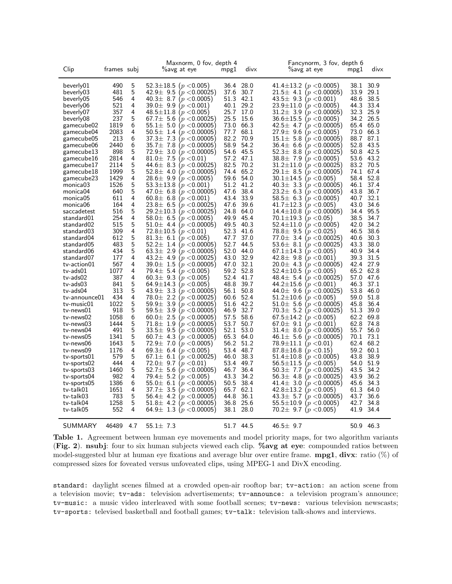| Clip                 | frames subj |        | Maxnorm, 0 fov, depth 4<br>%avg at eye                                  | mpg1         | divx         | Fancynorm, 3 fov, depth 6<br>%avg at eye                        | divx<br>mpgl         |  |
|----------------------|-------------|--------|-------------------------------------------------------------------------|--------------|--------------|-----------------------------------------------------------------|----------------------|--|
| beverly01            | 490         | 5      | 52.3±18.5 $(p < 0.005)$                                                 | 36.4         | 28.0         | 41.4±13.2 ( $p < 0.0005$ )                                      | 30.9<br>38.1         |  |
| beverly03            | 481         | 5      | $42.9 \pm 9.5$<br>(p < 0.00025)                                         | 37.6         | 30.7         | $21.5 \pm 4.1$<br>p < 0.00005                                   | 33.9<br>29.1         |  |
| beverly05            | 546         | 4      | $40.3 \pm 8.7$<br>(p < 0.0005)                                          | 51.3         | 42.1         | $43.5 \pm 9.3$<br>(p < 0.001)                                   | 48.6<br>38.5         |  |
| beverly06            | 521         | 4      | $39.0 \pm 9.9$<br>( $p <$ 0.001 )                                       | 40.1         | 29.2         | $23.9 \pm 11.0$<br>p < 0.0005                                   | 44.3<br>33.4         |  |
| beverly07            | 357         | 4      | $48.5 \pm 11.8$<br>( $p <$ 0.005 )                                      | 25.7         | 17.0         | $31.2 \pm 3.9$<br>$p < 0.00005$ )                               | 32.3<br>25.9         |  |
| beverly08            | 237         | 5      | $67.7 \pm 5.6$<br>(p < 0.00025)                                         | 25.5         | 15.6         | $36.6 \pm 15.5$<br>( $p <$ 0.0005)                              | 34.2<br>26.5         |  |
| gamecube02           | 1819        | 6      | $55.1 \pm 5.0$<br>( $p <$ 0.00005 )                                     | 73.0         | 66.3         | $42.5 \pm 4.7$<br>$\left( p < 0.00005 \right)$                  | 65.4<br>65.0         |  |
| gamecube04           | 2083        | 4      | $50.5 \pm 1.4$<br>( $p <$ 0.00005 $\,$                                  | 77.7         | 68.1         | $27.9 \pm 9.6$<br>(p < 0.0005)                                  | 73.0<br>66.3         |  |
| gamecube05           | 213         | 6      | $37.3 \pm 7.3$<br>( $p <$ 0.00005 )                                     | 82.2         | 70.9         | $15.1 \pm 5.8$<br>( $p <$ 0.00005 )                             | 87.1<br>88.7         |  |
| gamecube06           | 2440        | 6      | $35.7 \pm 7.8$<br>( $p <$ 0.00005 )                                     | 58.9         | 54.2         | $36.4 \pm 6.6$<br>$\left\langle p < \!\! 0.00005 \right\rangle$ | 52.8<br>43.5         |  |
| gamecube13           | 898         | 5      | $72.9 \pm 3.0$<br>(p < 0.00005)                                         | 54.6         | 45.5         | $52.3 \pm 8.8$<br>(p < 0.00025)                                 | 42.5<br>50.8         |  |
| gamecube16           | 2814        | 4      | $81.0 \pm 7.5$<br>( $\displaystyle{p<}$ 0.01 )                          | 57.2         | 47.1         | $38.8 \pm 7.9$<br>( $p <$ 0.0005 )                              | 53.6<br>43.2         |  |
| gamecube17           | 2114        | 5      | 44.6 $\pm$ 8.3<br>( $\displaystyle{p<}$ 0.00025 )                       | 82.5         | 70.2         | $31.2 \pm 11.0$<br>p < 0.00025                                  | 83.2<br>70.5         |  |
| gamecube18           | 1999        | 5      | $52.8 \pm 4.0$<br>(p < 0.00005)                                         | 74.4         | 65.2         | $29.1 \pm 8.5$<br>(p < 0.00005)                                 | 74.1<br>67.4         |  |
| gamecube23           | 1429        | 4      | $28.6 \pm 9.9$<br>(p < 0.0005)                                          | 59.6         | 54.0         | $30.1 \pm 14.5$<br>$p < 0.005$ )                                | 52.8<br>58.4         |  |
| monica03             | 1526        | 5      | $53.3 \pm 13.8$<br>( $p <$ 0.001 )                                      | 51.2         | 41.2         | $40.3 \pm 3.3$<br>$\left(p < 0.00005\right)$                    | 46.1<br>37.4         |  |
| monica04             | 640         | 5      | 47.0 $\pm$ 6.8<br>(p < 0.00005)                                         | 47.6         | 38.4         | $23.2 \pm 6.3$<br>(p < 0.00005)                                 | 43.8<br>36.7         |  |
| monica05             | 611         | 4      | $60.8 \pm 6.8$<br>( $p <$ 0.001 )                                       | 43.4         | 33.9         | $58.5 \pm 6.3$<br>( $p < 0.0005$ )                              | 32.1<br>40.7         |  |
| monica06             | 164         | 4      | $23.8 \pm 6.5$<br>( $\displaystyle{p<}$ 0.00025 )                       | 47.6         | 39.6         | $41.7 \pm 12.3$<br>p < 0.005                                    | 34.6<br>43.0         |  |
| saccadetest          | 516         | 5      | $29.2 \pm 10.3$<br>( $p <$ 0.00025 )                                    | 24.8         | 64.0         | $14.4 \pm 10.8$<br>$\left( p < 0.00005 \right)$                 | 34.4<br>95.5         |  |
| standard01           | 254         | 4      | $58.0 \pm 6.5$<br>( $\displaystyle{p<}$ 0.0005 )                        | 49.9         | 45.4         | $70.1 \pm 19.3$<br>(p < 0.05)                                   | 38.5<br>34.7         |  |
| standard02           | 515         | 5      | $51.0 \pm 4.4$<br>( $p <$ 0.00005 )                                     | 49.5         | 40.3         | $52.4 \pm 11.0$<br>p < 0.0005                                   | 42.0<br>34.2         |  |
| standard03           | 309         | 4      | $72.8 \pm 10.5$<br>( $p <$ 0.01)                                        | 52.3         | 41.6         | $78.8 \pm 9.5$<br>( $p <$ 0.025)                                | 46.5<br>38.6         |  |
| standard04           | 612         | 5      | $81.3 \pm 6.1$<br>( $p <$ 0.005 )                                       | 47.7         | 37.0         | $77.0 \pm 3.4$<br>( $p <$ 0.00025 )                             | 40.6<br>30.3         |  |
| standard05           | 483         | 5      | $52.2 \pm 1.4$<br>(p < 0.00005)                                         | 52.7         | 44.5         | $53.6 \pm 8.1$<br>p < 0.00025                                   | 43.3<br>38.0         |  |
| standard06           | 434         | 5      | $63.3 \pm 2.9$<br>( $p <$ 0.00005 $\vert$                               | 52.0         | 44.0         | $67.1 \pm 14.3$<br>( $p <$ 0.005 )                              | 34.4<br>40.9         |  |
| standard07           | 177         | 4      | $43.2 \pm 4.9$<br>( $\displaystyle{p<}$ 0.00025 )                       | 43.0         | 32.9         | $42.8 \pm 9.8$<br>( $\displaystyle{p<}$ 0.001 )                 | 39.3<br>31.5         |  |
| tv-action01          | 567         | 4<br>4 | $39.0 \pm 1.5$<br>( $p <$ 0.00005 )                                     | 47.0         | 32.1         | $20.0 \pm 4.3$<br>$p < 0.00005$ )                               | 42.4<br>27.9         |  |
| tv-ads01             | 1077<br>387 | 4      | $79.4 \pm 5.4$<br>(p < 0.005)                                           | 59.2<br>52.4 | 52.8<br>41.7 | $52.4 \pm 10.5$<br>(p < 0.005)                                  | 65.2<br>62.8<br>47.6 |  |
| tv-ads02<br>tv-ads03 | 841         | 5      | $60.3 \pm 9.3$<br>( $p <$ 0.005 )<br>$64.9 \pm 14.3$<br>( $p <$ 0.005 ) | 48.8         | 39.7         | $48.4 \pm 5.4$<br>( $p <$ 0.00025 )<br>$44.2 \pm 15.6$          | 57.0<br>46.3<br>37.1 |  |
| tv-ads04             | 313         | 5      | 43.9 $\pm$ 3.3<br>$(p <$ 0.00005)                                       | 56.1         | 50.8         | p < 0.001<br>44.0 $\pm$ 9.6<br>( $p <$ 0.00025 )                | 53.8<br>46.0         |  |
| tv-announce01        | 434         | 4      | $78.0 \pm 2.2$<br>( $\displaystyle{p<}$ 0.00025 )                       | 60.6         | 52.4         | $51.2 \pm 10.6$<br>(p < 0.005)                                  | 51.8<br>59.0         |  |
| tv-music01           | 1022        | 5      | $59.9 \pm 3.9$<br>(p < 0.00005)                                         | 51.6         | 42.2         | $51.0 \pm 5.6$<br>$\left(p<0.00005\right)$                      | 45.8<br>36.4         |  |
| tv-news01            | 918         | 5      | $59.5 \pm 3.9$<br>( $p <$ 0.00005 $^{\circ}$                            | 46.9         | 32.7         | $70.3 \pm 5.2$<br>(p < 0.00025)                                 | 51.3<br>39.0         |  |
| tv-news02            | 1058        | 6      | $60.0 \pm 2.5$<br>( $p <$ 0.00005 $\,$                                  | 57.5         | 58.6         | $67.5 \pm 14.2$<br>$p < 0.005$ )                                | 62.2<br>69.8         |  |
| tv-news03            | 1444        | 5      | $71.8 \pm 1.9$<br>( $p <$ 0.00005 $^{\circ}$                            | 53.7         | 50.7         | $67.0 \pm 9.1$<br>p < 0.001                                     | 62.8<br>74.8         |  |
| tv-news04            | 491         | 5      | $33.5 \pm 9.5$<br>$(p <$ 0.00005)                                       | 52.1         | 53.0         | $31.4 \pm 8.0$<br>( $\displaystyle{p<}$ 0.00005 )               | 55.7<br>56.0         |  |
| tv-news05            | 1341        | 5      | 60.7 $\pm$ 4.3<br>( $p <$ 0.00005 )                                     | 65.3         | 64.0         | $46.1 \pm 5.6$<br>(p < 0.00005)                                 | 73.1<br>70.1         |  |
| tv-news06            | 1643        | 5      | $72.9 \pm 7.0$<br>(p < 0.0005)                                          | 56.2         | 51.2         | 78.9 $\pm$ 11.1<br>p < 0.01                                     | 62.4<br>68.2         |  |
| tv-news09            | 1176        | 4      | $69.3 \pm 6.4$<br>(p < 0.005)                                           | 53.4         | 48.7         | $87.8 \pm 16.8$<br>( $p <$ 0.15)                                | 59.2<br>60.1         |  |
| tv-sports01          | 579         | 5      | $67.1 \pm 6.1$<br>( $p < 0.00025$ )                                     | 46.0         | 38.3         | $51.4 \pm 10.8$<br>(p < 0.0005)                                 | 43.8<br>38.9         |  |
| tv-sports02          | 444         | 4      | $72.0 \pm 9.7$<br>( $p <$ 0.01 )                                        | 53.4         | 49.7         | $56.5 \pm 11.5$<br>p < 0.005                                    | 54.0<br>51.9         |  |
| tv-sports03          | 1460        | 5      | $52.7 \pm 5.6$<br>(p < 0.00005)                                         | 46.7         | 36.4         | $50.3 \pm 7.7$<br>$\mid p < 0.00025 \rangle$                    | 43.5<br>34.2         |  |
| tv-sports04          | 982         | 4      | $79.4 \pm 5.2$<br>(p < 0.005)                                           | 43.3         | 34.2         | 56.3 $\pm$ 4.8<br>$\left( p < 0.00025 \right)$                  | 43.9<br>36.2         |  |
| tv-sports05          | 1386        | 6      | $55.0 \pm 6.1$<br>( $\displaystyle{p<}$ 0.00005 )                       | 50.5         | 38.4         | $41.4 \pm 3.0$<br>p < 0.00005                                   | 34.3<br>45.6         |  |
| tv-talk01            | 1651        | 4      | $37.7 \pm 3.5$<br>( $p <$ 0.00005 )                                     | 65.7         | 62.1         | 42.8±13.2<br>$p < 0.005$ )                                      | 61.3<br>64.0         |  |
| tv-talk03            | 783         | 5      | 56.4 $\pm$ 4.2<br>(p < 0.00005)                                         | 44.8         | 36.1         | $43.3 \pm 5.7$<br>p < 0.00005                                   | 43.7<br>36.6         |  |
| tv-talk04            | 1258        | 5      | $51.8\pm$ 4.2<br>( $p <$ 0.00005 )                                      | 36.8         | 25.6         | $55.5 \pm 10.9$<br>p < 0.0005                                   | 42.7<br>34.8         |  |
| tv-talk05            | 552         | 4      | 64.9 ± 1.3 $(p < 0.00005)$                                              | 38.1         | 28.0         | 70.2 $\pm$ 9.7 ( $p < 0.005$ )                                  | 41.9<br>34.4         |  |
|                      |             |        |                                                                         |              |              |                                                                 |                      |  |
| SUMMARY              | 46489       | 4.7    | 55.1 $\pm$ 7.3                                                          |              | 51.7 44.5    | $46.5 \pm 9.7$                                                  | 50.9 46.3            |  |

Table 1. Agreement between human eye movements and model priority maps, for two algorithm variants (Fig. 2). nsubj: four to six human subjects viewed each clip. %avg at eye: compounded ratios between model-suggested blur at human eye fixations and average blur over entire frame.  $mpg1$ , divx: ratio  $(\%)$  of compressed sizes for foveated versus unfoveated clips, using MPEG-1 and DivX encoding.

standard: daylight scenes filmed at a crowded open-air rooftop bar; tv-action: an action scene from a television movie; tv-ads: television advertisements; tv-announce: a television program's announce; tv-music: a music video interleaved with some football scenes; tv-news: various television newscasts; tv-sports: televised basketball and football games; tv-talk: television talk-shows and interviews.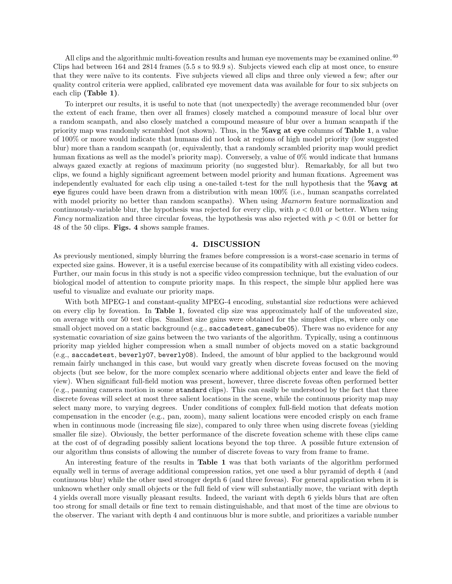All clips and the algorithmic multi-foveation results and human eye movements may be examined online.<sup>40</sup> Clips had between 164 and 2814 frames (5.5 s to 93.9 s). Subjects viewed each clip at most once, to ensure that they were na¨ıve to its contents. Five subjects viewed all clips and three only viewed a few; after our quality control criteria were applied, calibrated eye movement data was available for four to six subjects on each clip (Table 1).

To interpret our results, it is useful to note that (not unexpectedly) the average recommended blur (over the extent of each frame, then over all frames) closely matched a compound measure of local blur over a random scanpath, and also closely matched a compound measure of blur over a human scanpath if the priority map was randomly scrambled (not shown). Thus, in the %avg at eye columns of Table 1, a value of 100% or more would indicate that humans did not look at regions of high model priority (low suggested blur) more than a random scanpath (or, equivalently, that a randomly scrambled priority map would predict human fixations as well as the model's priority map). Conversely, a value of 0% would indicate that humans always gazed exactly at regions of maximum priority (no suggested blur). Remarkably, for all but two clips, we found a highly significant agreement between model priority and human fixations. Agreement was independently evaluated for each clip using a one-tailed t-test for the null hypothesis that the  $\%$ avg at eye figures could have been drawn from a distribution with mean 100% (i.e., human scanpaths correlated with model priority no better than random scanpaths). When using *Maxnorm* feature normalization and continuously-variable blur, the hypothesis was rejected for every clip, with  $p < 0.01$  or better. When using Fancy normalization and three circular foveas, the hypothesis was also rejected with  $p < 0.01$  or better for 48 of the 50 clips. Figs. 4 shows sample frames.

#### 4. DISCUSSION

As previously mentioned, simply blurring the frames before compression is a worst-case scenario in terms of expected size gains. However, it is a useful exercise because of its compatibility with all existing video codecs. Further, our main focus in this study is not a specific video compression technique, but the evaluation of our biological model of attention to compute priority maps. In this respect, the simple blur applied here was useful to visualize and evaluate our priority maps.

With both MPEG-1 and constant-quality MPEG-4 encoding, substantial size reductions were achieved on every clip by foveation. In Table 1, foveated clip size was approximately half of the unfoveated size, on average with our 50 test clips. Smallest size gains were obtained for the simplest clips, where only one small object moved on a static background (e.g., saccadetest, gamecube05). There was no evidence for any systematic covariation of size gains between the two variants of the algorithm. Typically, using a continuous priority map yielded higher compression when a small number of objects moved on a static background (e.g., saccadetest, beverly07, beverly08). Indeed, the amount of blur applied to the background would remain fairly unchanged in this case, but would vary greatly when discrete foveas focused on the moving objects (but see below, for the more complex scenario where additional objects enter and leave the field of view). When significant full-field motion was present, however, three discrete foveas often performed better (e.g., panning camera motion in some standard clips). This can easily be understood by the fact that three discrete foveas will select at most three salient locations in the scene, while the continuous priority map may select many more, to varying degrees. Under conditions of complex full-field motion that defeats motion compensation in the encoder (e.g., pan, zoom), many salient locations were encoded crisply on each frame when in continuous mode (increasing file size), compared to only three when using discrete foveas (yielding smaller file size). Obviously, the better performance of the discrete foveation scheme with these clips came at the cost of of degrading possibly salient locations beyond the top three. A possible future extension of our algorithm thus consists of allowing the number of discrete foveas to vary from frame to frame.

An interesting feature of the results in Table 1 was that both variants of the algorithm performed equally well in terms of average additional compression ratios, yet one used a blur pyramid of depth 4 (and continuous blur) while the other used stronger depth 6 (and three foveas). For general application when it is unknown whether only small objects or the full field of view will substantially move, the variant with depth 4 yields overall more visually pleasant results. Indeed, the variant with depth 6 yields blurs that are often too strong for small details or fine text to remain distinguishable, and that most of the time are obvious to the observer. The variant with depth 4 and continuous blur is more subtle, and prioritizes a variable number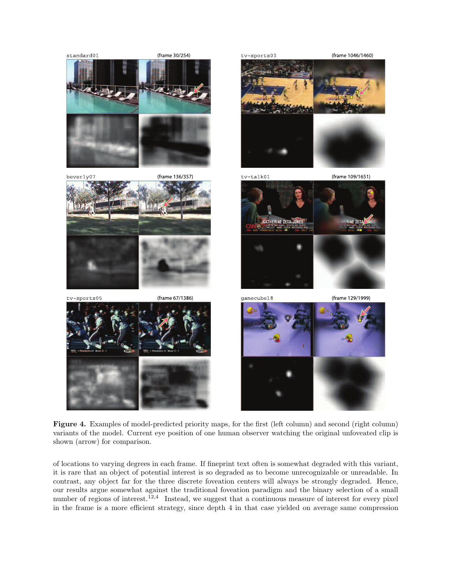

Figure 4. Examples of model-predicted priority maps, for the first (left column) and second (right column) variants of the model. Current eye position of one human observer watching the original unfoveated clip is shown (arrow) for comparison.

of locations to varying degrees in each frame. If fineprint text often is somewhat degraded with this variant, it is rare that an object of potential interest is so degraded as to become unrecognizable or unreadable. In contrast, any object far for the three discrete foveation centers will always be strongly degraded. Hence, our results argue somewhat against the traditional foveation paradigm and the binary selection of a small number of regions of interest.<sup>12,4</sup> Instead, we suggest that a continuous measure of interest for every pixel in the frame is a more efficient strategy, since depth 4 in that case yielded on average same compression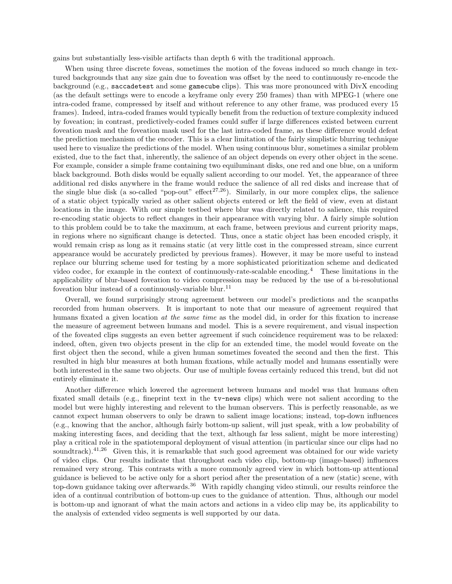gains but substantially less-visible artifacts than depth 6 with the traditional approach.

When using three discrete foveas, sometimes the motion of the foveas induced so much change in textured backgrounds that any size gain due to foveation was offset by the need to continuously re-encode the background (e.g., saccadetest and some gamecube clips). This was more pronounced with DivX encoding (as the default settings were to encode a keyframe only every 250 frames) than with MPEG-1 (where one intra-coded frame, compressed by itself and without reference to any other frame, was produced every 15 frames). Indeed, intra-coded frames would typically benefit from the reduction of texture complexity induced by foveation; in contrast, predictively-coded frames could suffer if large differences existed between current foveation mask and the foveation mask used for the last intra-coded frame, as these difference would defeat the prediction mechanism of the encoder. This is a clear limitation of the fairly simplistic blurring technique used here to visualize the predictions of the model. When using continuous blur, sometimes a similar problem existed, due to the fact that, inherently, the salience of an object depends on every other object in the scene. For example, consider a simple frame containing two equiluminant disks, one red and one blue, on a uniform black background. Both disks would be equally salient according to our model. Yet, the appearance of three additional red disks anywhere in the frame would reduce the salience of all red disks and increase that of the single blue disk (a so-called "pop-out" effect<sup>27,26</sup>). Similarly, in our more complex clips, the salience of a static object typically varied as other salient objects entered or left the field of view, even at distant locations in the image. With our simple testbed where blur was directly related to salience, this required re-encoding static objects to reflect changes in their appearance with varying blur. A fairly simple solution to this problem could be to take the maximum, at each frame, between previous and current priority maps, in regions where no significant change is detected. Thus, once a static object has been encoded crisply, it would remain crisp as long as it remains static (at very little cost in the compressed stream, since current appearance would be accurately predicted by previous frames). However, it may be more useful to instead replace our blurring scheme used for testing by a more sophisticated prioritization scheme and dedicated video codec, for example in the context of continuously-rate-scalable encoding.<sup>4</sup> These limitations in the applicability of blur-based foveation to video compression may be reduced by the use of a bi-resolutional foveation blur instead of a continuously-variable blur.<sup>11</sup>

Overall, we found surprisingly strong agreement between our model's predictions and the scanpaths recorded from human observers. It is important to note that our measure of agreement required that humans fixated a given location at the same time as the model did, in order for this fixation to increase the measure of agreement between humans and model. This is a severe requirement, and visual inspection of the foveated clips suggests an even better agreement if such coincidence requirement was to be relaxed: indeed, often, given two objects present in the clip for an extended time, the model would foveate on the first object then the second, while a given human sometimes foveated the second and then the first. This resulted in high blur measures at both human fixations, while actually model and humans essentially were both interested in the same two objects. Our use of multiple foveas certainly reduced this trend, but did not entirely eliminate it.

Another difference which lowered the agreement between humans and model was that humans often fixated small details (e.g., fineprint text in the tv-news clips) which were not salient according to the model but were highly interesting and relevent to the human observers. This is perfectly reasonable, as we cannot expect human observers to only be drawn to salient image locations; instead, top-down influences (e.g., knowing that the anchor, although fairly bottom-up salient, will just speak, with a low probability of making interesting faces, and deciding that the text, although far less salient, might be more interesting) play a critical role in the spatiotemporal deployment of visual attention (in particular since our clips had no soundtrack).<sup>41,26</sup> Given this, it is remarkable that such good agreement was obtained for our wide variety of video clips. Our results indicate that throughout each video clip, bottom-up (image-based) influences remained very strong. This contrasts with a more commonly agreed view in which bottom-up attentional guidance is believed to be active only for a short period after the presentation of a new (static) scene, with top-down guidance taking over afterwards.<sup>36</sup> With rapidly changing video stimuli, our results reinforce the idea of a continual contribution of bottom-up cues to the guidance of attention. Thus, although our model is bottom-up and ignorant of what the main actors and actions in a video clip may be, its applicability to the analysis of extended video segments is well supported by our data.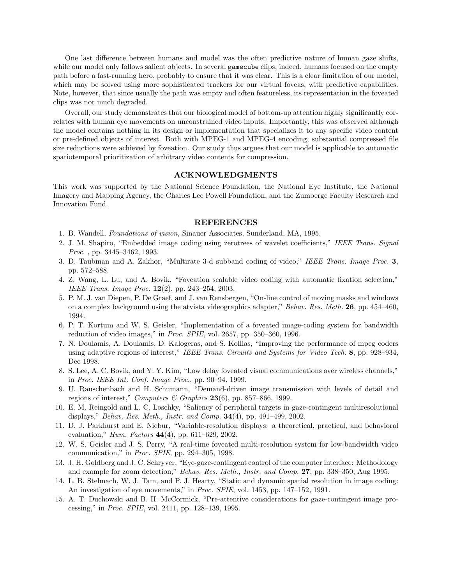One last difference between humans and model was the often predictive nature of human gaze shifts, while our model only follows salient objects. In several gamecube clips, indeed, humans focused on the empty path before a fast-running hero, probably to ensure that it was clear. This is a clear limitation of our model, which may be solved using more sophisticated trackers for our virtual foveas, with predictive capabilities. Note, however, that since usually the path was empty and often featureless, its representation in the foveated clips was not much degraded.

Overall, our study demonstrates that our biological model of bottom-up attention highly significantly correlates with human eye movements on unconstrained video inputs. Importantly, this was observed although the model contains nothing in its design or implementation that specializes it to any specific video content or pre-defined objects of interest. Both with MPEG-1 and MPEG-4 encoding, substantial compressed file size reductions were achieved by foveation. Our study thus argues that our model is applicable to automatic spatiotemporal prioritization of arbitrary video contents for compression.

#### ACKNOWLEDGMENTS

This work was supported by the National Science Foundation, the National Eye Institute, the National Imagery and Mapping Agency, the Charles Lee Powell Foundation, and the Zumberge Faculty Research and Innovation Fund.

### REFERENCES

- 1. B. Wandell, Foundations of vision, Sinauer Associates, Sunderland, MA, 1995.
- 2. J. M. Shapiro, "Embedded image coding using zerotrees of wavelet coefficients," IEEE Trans. Signal Proc. , pp. 3445–3462, 1993.
- 3. D. Taubman and A. Zakhor, "Multirate 3-d subband coding of video," IEEE Trans. Image Proc. 3, pp. 572–588.
- 4. Z. Wang, L. Lu, and A. Bovik, "Foveation scalable video coding with automatic fixation selection," IEEE Trans. Image Proc. 12(2), pp. 243–254, 2003.
- 5. P. M. J. van Diepen, P. De Graef, and J. van Rensbergen, "On-line control of moving masks and windows on a complex background using the atvista videographics adapter," Behav. Res. Meth. 26, pp. 454–460, 1994.
- 6. P. T. Kortum and W. S. Geisler, "Implementation of a foveated image-coding system for bandwidth reduction of video images," in Proc. SPIE, vol. 2657, pp. 350–360, 1996.
- 7. N. Doulamis, A. Doulamis, D. Kalogeras, and S. Kollias, "Improving the performance of mpeg coders using adaptive regions of interest," IEEE Trans. Circuits and Systems for Video Tech. 8, pp. 928–934, Dec 1998.
- 8. S. Lee, A. C. Bovik, and Y. Y. Kim, "Low delay foveated visual communications over wireless channels," in Proc. IEEE Int. Conf. Image Proc., pp. 90–94, 1999.
- 9. U. Rauschenbach and H. Schumann, "Demand-driven image transmission with levels of detail and regions of interest," Computers & Graphics  $23(6)$ , pp. 857–866, 1999.
- 10. E. M. Reingold and L. C. Loschky, "Saliency of peripheral targets in gaze-contingent multiresolutional displays," Behav. Res. Meth., Instr. and Comp. 34(4), pp. 491–499, 2002.
- 11. D. J. Parkhurst and E. Niebur, "Variable-resolution displays: a theoretical, practical, and behavioral evaluation," Hum. Factors 44(4), pp. 611–629, 2002.
- 12. W. S. Geisler and J. S. Perry, "A real-time foveated multi-resolution system for low-bandwidth video communication," in Proc. SPIE, pp. 294–305, 1998.
- 13. J. H. Goldberg and J. C. Schryver, "Eye-gaze-contingent control of the computer interface: Methodology and example for zoom detection," Behav. Res. Meth., Instr. and Comp. 27, pp. 338–350, Aug 1995.
- 14. L. B. Stelmach, W. J. Tam, and P. J. Hearty, "Static and dynamic spatial resolution in image coding: An investigation of eye movements," in *Proc. SPIE*, vol. 1453, pp. 147–152, 1991.
- 15. A. T. Duchowski and B. H. McCormick, "Pre-attentive considerations for gaze-contingent image processing," in Proc. SPIE, vol. 2411, pp. 128–139, 1995.